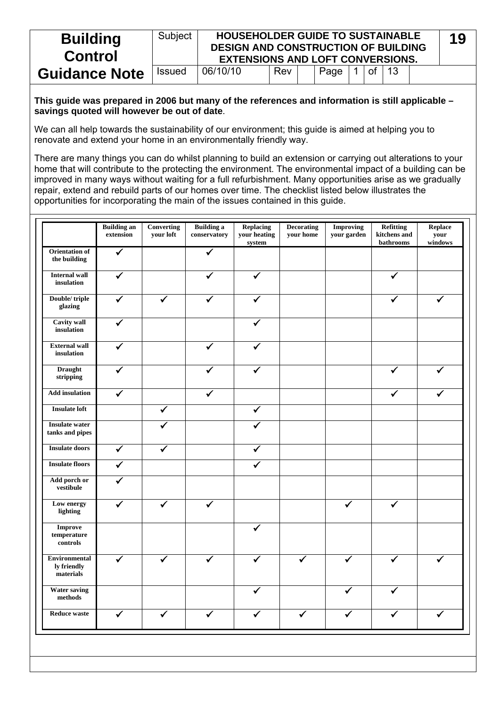| <b>Building</b><br><b>Control</b> | Subject       |          | <b>HOUSEHOLDER GUIDE TO SUSTAINABLE</b><br><b>DESIGN AND CONSTRUCTION OF BUILDING</b><br><b>EXTENSIONS AND LOFT CONVERSIONS.</b> |  |      |  |               |  |  |  |  |  |
|-----------------------------------|---------------|----------|----------------------------------------------------------------------------------------------------------------------------------|--|------|--|---------------|--|--|--|--|--|
| <b>Guidance Note</b>              | <b>Issued</b> | 06/10/10 | Rev                                                                                                                              |  | Page |  | $ $ of $ $ 13 |  |  |  |  |  |

**This guide was prepared in 2006 but many of the references and information is still applicable – savings quoted will however be out of date**.

We can all help towards the sustainability of our environment; this guide is aimed at helping you to renovate and extend your home in an environmentally friendly way.

There are many things you can do whilst planning to build an extension or carrying out alterations to your home that will contribute to the protecting the environment. The environmental impact of a building can be improved in many ways without waiting for a full refurbishment. Many opportunities arise as we gradually repair, extend and rebuild parts of our homes over time. The checklist listed below illustrates the opportunities for incorporating the main of the issues contained in this guide.

|                                           | <b>Building an</b><br>extension | Converting<br>your loft | <b>Building a</b><br>conservatory | <b>Replacing</b><br>your heating<br>system | <b>Decorating</b><br>your home | <b>Improving</b><br>your garden | <b>Refitting</b><br>kitchens and<br>bathrooms | Replace<br>your<br>windows |
|-------------------------------------------|---------------------------------|-------------------------|-----------------------------------|--------------------------------------------|--------------------------------|---------------------------------|-----------------------------------------------|----------------------------|
| <b>Orientation</b> of<br>the building     | ✓                               |                         | ✓                                 |                                            |                                |                                 |                                               |                            |
| <b>Internal wall</b><br>insulation        | ✓                               |                         | ✔                                 | ✓                                          |                                |                                 |                                               |                            |
| Double/triple<br>glazing                  | ✓                               |                         |                                   |                                            |                                |                                 |                                               |                            |
| Cavity wall<br>insulation                 |                                 |                         |                                   |                                            |                                |                                 |                                               |                            |
| <b>External wall</b><br>insulation        |                                 |                         |                                   |                                            |                                |                                 |                                               |                            |
| <b>Draught</b><br>stripping               |                                 |                         |                                   |                                            |                                |                                 |                                               |                            |
| <b>Add insulation</b>                     | ✓                               |                         | √                                 |                                            |                                |                                 |                                               |                            |
| <b>Insulate loft</b>                      |                                 | ✓                       |                                   | ✓                                          |                                |                                 |                                               |                            |
| <b>Insulate water</b><br>tanks and pipes  |                                 |                         |                                   |                                            |                                |                                 |                                               |                            |
| <b>Insulate doors</b>                     | ✓                               | ✔                       |                                   |                                            |                                |                                 |                                               |                            |
| <b>Insulate floors</b>                    | ✓                               |                         |                                   |                                            |                                |                                 |                                               |                            |
| Add porch or<br>vestibule                 |                                 |                         |                                   |                                            |                                |                                 |                                               |                            |
| Low energy<br>lighting                    |                                 |                         |                                   |                                            |                                |                                 |                                               |                            |
| Improve<br>temperature<br>controls        |                                 |                         |                                   |                                            |                                |                                 |                                               |                            |
| Environmental<br>ly friendly<br>materials | ✓                               | ✔                       | ✔                                 | $\checkmark$                               | ✓                              | ✔                               |                                               |                            |
| <b>Water saving</b><br>$\bf{methods}$     |                                 |                         |                                   |                                            |                                |                                 |                                               |                            |
| <b>Reduce waste</b>                       |                                 |                         |                                   |                                            |                                |                                 |                                               |                            |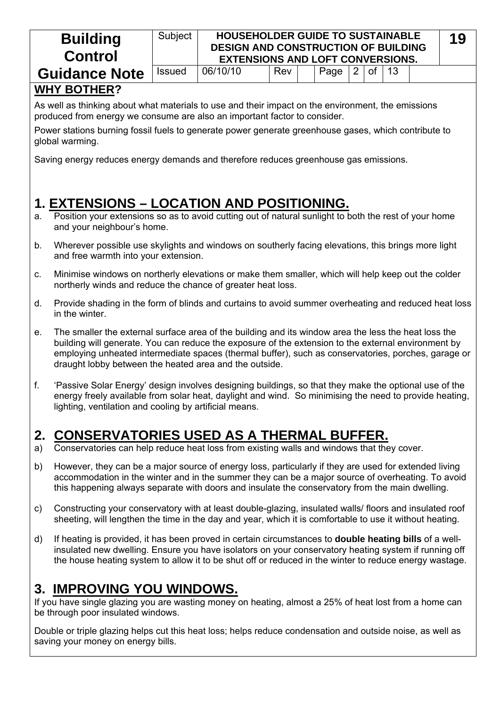|              | <b>Building</b><br><b>Control</b>                                                                                                                                                                                                                                                                                                                                            | Subject       | <b>HOUSEHOLDER GUIDE TO SUSTAINABLE</b><br><b>DESIGN AND CONSTRUCTION OF BUILDING</b><br><b>EXTENSIONS AND LOFT CONVERSIONS.</b> |     |  |      |                |    |    |  | 19 |
|--------------|------------------------------------------------------------------------------------------------------------------------------------------------------------------------------------------------------------------------------------------------------------------------------------------------------------------------------------------------------------------------------|---------------|----------------------------------------------------------------------------------------------------------------------------------|-----|--|------|----------------|----|----|--|----|
|              | <b>Guidance Note</b>                                                                                                                                                                                                                                                                                                                                                         | <b>Issued</b> | 06/10/10                                                                                                                         | Rev |  | Page | $\overline{2}$ | of | 13 |  |    |
|              | <b>WHY BOTHER?</b>                                                                                                                                                                                                                                                                                                                                                           |               |                                                                                                                                  |     |  |      |                |    |    |  |    |
|              | As well as thinking about what materials to use and their impact on the environment, the emissions<br>produced from energy we consume are also an important factor to consider.                                                                                                                                                                                              |               |                                                                                                                                  |     |  |      |                |    |    |  |    |
|              | Power stations burning fossil fuels to generate power generate greenhouse gases, which contribute to<br>global warming.                                                                                                                                                                                                                                                      |               |                                                                                                                                  |     |  |      |                |    |    |  |    |
|              | Saving energy reduces energy demands and therefore reduces greenhouse gas emissions.                                                                                                                                                                                                                                                                                         |               |                                                                                                                                  |     |  |      |                |    |    |  |    |
|              |                                                                                                                                                                                                                                                                                                                                                                              |               |                                                                                                                                  |     |  |      |                |    |    |  |    |
|              | <b>1. EXTENSIONS – LOCATION AND POSITIONING.</b>                                                                                                                                                                                                                                                                                                                             |               |                                                                                                                                  |     |  |      |                |    |    |  |    |
| a.           | Position your extensions so as to avoid cutting out of natural sunlight to both the rest of your home<br>and your neighbour's home.                                                                                                                                                                                                                                          |               |                                                                                                                                  |     |  |      |                |    |    |  |    |
| b.           | Wherever possible use skylights and windows on southerly facing elevations, this brings more light<br>and free warmth into your extension.                                                                                                                                                                                                                                   |               |                                                                                                                                  |     |  |      |                |    |    |  |    |
| C.           | Minimise windows on northerly elevations or make them smaller, which will help keep out the colder<br>northerly winds and reduce the chance of greater heat loss.                                                                                                                                                                                                            |               |                                                                                                                                  |     |  |      |                |    |    |  |    |
| d.           | Provide shading in the form of blinds and curtains to avoid summer overheating and reduced heat loss<br>in the winter.                                                                                                                                                                                                                                                       |               |                                                                                                                                  |     |  |      |                |    |    |  |    |
| е.           | The smaller the external surface area of the building and its window area the less the heat loss the<br>building will generate. You can reduce the exposure of the extension to the external environment by<br>employing unheated intermediate spaces (thermal buffer), such as conservatories, porches, garage or<br>draught lobby between the heated area and the outside. |               |                                                                                                                                  |     |  |      |                |    |    |  |    |
| f.           | 'Passive Solar Energy' design involves designing buildings, so that they make the optional use of the<br>energy freely available from solar heat, daylight and wind. So minimising the need to provide heating,<br>lighting, ventilation and cooling by artificial means.                                                                                                    |               |                                                                                                                                  |     |  |      |                |    |    |  |    |
| 2.           | <b>CONSERVATORIES USED AS A THERMAL BUFFER.</b><br>Conservatories can help reduce heat loss from existing walls and windows that they cover.                                                                                                                                                                                                                                 |               |                                                                                                                                  |     |  |      |                |    |    |  |    |
| a)           |                                                                                                                                                                                                                                                                                                                                                                              |               |                                                                                                                                  |     |  |      |                |    |    |  |    |
| b)           | However, they can be a major source of energy loss, particularly if they are used for extended living<br>accommodation in the winter and in the summer they can be a major source of overheating. To avoid<br>this happening always separate with doors and insulate the conservatory from the main dwelling.                                                                |               |                                                                                                                                  |     |  |      |                |    |    |  |    |
| $\mathsf{C}$ | Constructing your conservatory with at least double-glazing, insulated walls/ floors and insulated roof<br>sheeting, will lengthen the time in the day and year, which it is comfortable to use it without heating.                                                                                                                                                          |               |                                                                                                                                  |     |  |      |                |    |    |  |    |
| $\mathsf{d}$ | If heating is provided, it has been proved in certain circumstances to <b>double heating bills</b> of a well-<br>insulated new dwelling. Ensure you have isolators on your conservatory heating system if running off<br>the house heating system to allow it to be shut off or reduced in the winter to reduce energy wastage.                                              |               |                                                                                                                                  |     |  |      |                |    |    |  |    |
|              | <b>IMPROVING YOU WINDOWS.</b>                                                                                                                                                                                                                                                                                                                                                |               |                                                                                                                                  |     |  |      |                |    |    |  |    |

If you have single glazing you are wasting money on heating, almost a 25% of heat lost from a home can be through poor insulated windows.

Double or triple glazing helps cut this heat loss; helps reduce condensation and outside noise, as well as saving your money on energy bills.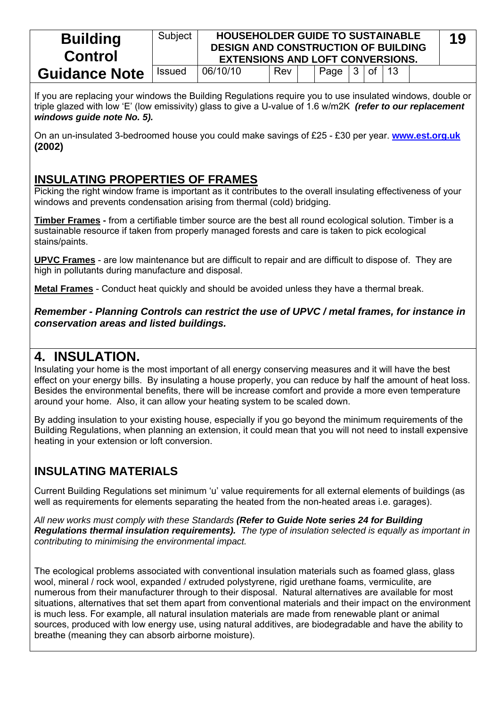| <b>Building</b><br><b>Control</b> | Subject       |          | <b>HOUSEHOLDER GUIDE TO SUSTAINABLE</b><br><b>DESIGN AND CONSTRUCTION OF BUILDING</b><br><b>EXTENSIONS AND LOFT CONVERSIONS.</b> |  |      |  |                |  |  |  |  |
|-----------------------------------|---------------|----------|----------------------------------------------------------------------------------------------------------------------------------|--|------|--|----------------|--|--|--|--|
| <b>Guidance Note</b>              | <b>Issued</b> | 06/10/10 | Rev                                                                                                                              |  | Page |  | $3 $ of $ 13 $ |  |  |  |  |

If you are replacing your windows the Building Regulations require you to use insulated windows, double or triple glazed with low 'E' (low emissivity) glass to give a U-value of 1.6 w/m2K *(refer to our replacement windows guide note No. 5).*

On an un-insulated 3-bedroomed house you could make savings of £25 - £30 per year. **[www.est.org.uk](http://www.est.org.uk/) (2002)** 

### **INSULATING PROPERTIES OF FRAMES**

Picking the right window frame is important as it contributes to the overall insulating effectiveness of your windows and prevents condensation arising from thermal (cold) bridging.

**Timber Frames -** from a certifiable timber source are the best all round ecological solution. Timber is a sustainable resource if taken from properly managed forests and care is taken to pick ecological stains/paints.

**UPVC Frames** - are low maintenance but are difficult to repair and are difficult to dispose of. They are high in pollutants during manufacture and disposal.

**Metal Frames** - Conduct heat quickly and should be avoided unless they have a thermal break.

*Remember - Planning Controls can restrict the use of UPVC / metal frames, for instance in conservation areas and listed buildings.* 

### **4. INSULATION.**

Insulating your home is the most important of all energy conserving measures and it will have the best effect on your energy bills. By insulating a house properly, you can reduce by half the amount of heat loss. Besides the environmental benefits, there will be increase comfort and provide a more even temperature around your home. Also, it can allow your heating system to be scaled down.

By adding insulation to your existing house, especially if you go beyond the minimum requirements of the Building Regulations, when planning an extension, it could mean that you will not need to install expensive heating in your extension or loft conversion.

## **INSULATING MATERIALS**

Current Building Regulations set minimum 'u' value requirements for all external elements of buildings (as well as requirements for elements separating the heated from the non-heated areas i.e. garages).

*All new works must comply with these Standards (Refer to Guide Note series 24 for Building Regulations thermal insulation requirements). The type of insulation selected is equally as important in contributing to minimising the environmental impact.* 

The ecological problems associated with conventional insulation materials such as foamed glass, glass wool, mineral / rock wool, expanded / extruded polystyrene, rigid urethane foams, vermiculite, are numerous from their manufacturer through to their disposal. Natural alternatives are available for most situations, alternatives that set them apart from conventional materials and their impact on the environment is much less. For example, all natural insulation materials are made from renewable plant or animal sources, produced with low energy use, using natural additives, are biodegradable and have the ability to breathe (meaning they can absorb airborne moisture).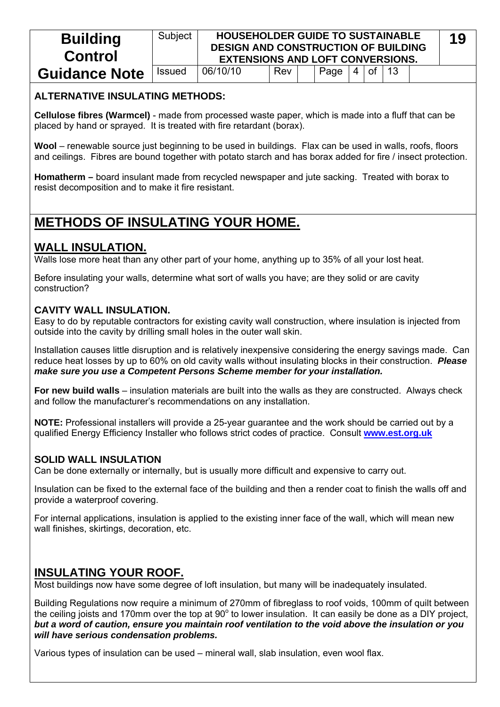| <b>Building</b><br><b>Control</b> | Subject       |          | <b>HOUSEHOLDER GUIDE TO SUSTAINABLE</b><br><b>DESIGN AND CONSTRUCTION OF BUILDING</b><br><b>EXTENSIONS AND LOFT CONVERSIONS.</b> |  |                      |  |  |  |  |  |  |
|-----------------------------------|---------------|----------|----------------------------------------------------------------------------------------------------------------------------------|--|----------------------|--|--|--|--|--|--|
| <b>Guidance Note</b>              | <b>Issued</b> | 06/10/10 | Rev                                                                                                                              |  | Page $ 4 $ of $ 13 $ |  |  |  |  |  |  |

#### **ALTERNATIVE INSULATING METHODS:**

**Cellulose fibres (Warmcel)** - made from processed waste paper, which is made into a fluff that can be placed by hand or sprayed. It is treated with fire retardant (borax).

**Wool** – renewable source just beginning to be used in buildings. Flax can be used in walls, roofs, floors and ceilings. Fibres are bound together with potato starch and has borax added for fire / insect protection.

**Homatherm –** board insulant made from recycled newspaper and jute sacking. Treated with borax to resist decomposition and to make it fire resistant.

# **METHODS OF INSULATING YOUR HOME.**

### **WALL INSULATION.**

Walls lose more heat than any other part of your home, anything up to 35% of all your lost heat.

Before insulating your walls, determine what sort of walls you have; are they solid or are cavity construction?

#### **CAVITY WALL INSULATION.**

Easy to do by reputable contractors for existing cavity wall construction, where insulation is injected from outside into the cavity by drilling small holes in the outer wall skin.

Installation causes little disruption and is relatively inexpensive considering the energy savings made. Can reduce heat losses by up to 60% on old cavity walls without insulating blocks in their construction. *Please make sure you use a Competent Persons Scheme member for your installation.* 

**For new build walls** – insulation materials are built into the walls as they are constructed. Always check and follow the manufacturer's recommendations on any installation.

**NOTE:** Professional installers will provide a 25-year guarantee and the work should be carried out by a qualified Energy Efficiency Installer who follows strict codes of practice. Consult **[www.est.org.uk](http://www.est.org.uk/)**

#### **SOLID WALL INSULATION**

Can be done externally or internally, but is usually more difficult and expensive to carry out.

Insulation can be fixed to the external face of the building and then a render coat to finish the walls off and provide a waterproof covering.

For internal applications, insulation is applied to the existing inner face of the wall, which will mean new wall finishes, skirtings, decoration, etc.

### **INSULATING YOUR ROOF.**

Most buildings now have some degree of loft insulation, but many will be inadequately insulated.

Building Regulations now require a minimum of 270mm of fibreglass to roof voids, 100mm of quilt between the ceiling joists and 170mm over the top at 90° to lower insulation. It can easily be done as a DIY project, *but a word of caution, ensure you maintain roof ventilation to the void above the insulation or you will have serious condensation problems.* 

Various types of insulation can be used – mineral wall, slab insulation, even wool flax.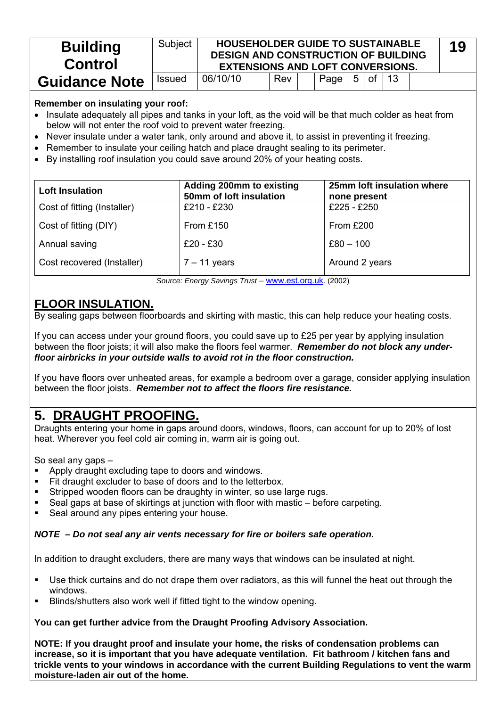| <b>Building</b><br><b>Control</b> | Subject       |          | <b>HOUSEHOLDER GUIDE TO SUSTAINABLE</b><br><b>DESIGN AND CONSTRUCTION OF BUILDING</b><br><b>EXTENSIONS AND LOFT CONVERSIONS.</b><br>$ 5 $ of $ 13 $ |  |      |  |  |  |  |  |  |  |
|-----------------------------------|---------------|----------|-----------------------------------------------------------------------------------------------------------------------------------------------------|--|------|--|--|--|--|--|--|--|
| <b>Guidance Note</b>              | <b>Issued</b> | 06/10/10 | Rev                                                                                                                                                 |  | Page |  |  |  |  |  |  |  |

#### **Remember on insulating your roof:**

- Insulate adequately all pipes and tanks in your loft, as the void will be that much colder as heat from below will not enter the roof void to prevent water freezing.
- Never insulate under a water tank, only around and above it, to assist in preventing it freezing.
- Remember to insulate your ceiling hatch and place draught sealing to its perimeter.
- By installing roof insulation you could save around 20% of your heating costs.

| <b>Loft Insulation</b>      | Adding 200mm to existing<br>50mm of loft insulation | 25mm loft insulation where<br>none present |
|-----------------------------|-----------------------------------------------------|--------------------------------------------|
| Cost of fitting (Installer) | £210 - £230                                         | £225 - £250                                |
| Cost of fitting (DIY)       | From £150                                           | From £200                                  |
| Annual saving               | $£20 - £30$                                         | $£80 - 100$                                |
| Cost recovered (Installer)  | $7 - 11$ years                                      | Around 2 years                             |

*Source: Energy Savings Trust –* [www.est.org.uk](http://www.est.org.uk/). (2002)

### **FLOOR INSULATION.**

By sealing gaps between floorboards and skirting with mastic, this can help reduce your heating costs.

If you can access under your ground floors, you could save up to £25 per year by applying insulation between the floor joists; it will also make the floors feel warmer. *Remember do not block any underfloor airbricks in your outside walls to avoid rot in the floor construction.* 

If you have floors over unheated areas, for example a bedroom over a garage, consider applying insulation between the floor joists. *Remember not to affect the floors fire resistance.* 

## **5. DRAUGHT PROOFING.**

Draughts entering your home in gaps around doors, windows, floors, can account for up to 20% of lost heat. Wherever you feel cold air coming in, warm air is going out.

So seal any gaps –

- Apply draught excluding tape to doors and windows.
- Fit draught excluder to base of doors and to the letterbox.
- Stripped wooden floors can be draughty in winter, so use large rugs.
- Seal gaps at base of skirtings at junction with floor with mastic before carpeting.
- Seal around any pipes entering your house.

#### *NOTE – Do not seal any air vents necessary for fire or boilers safe operation.*

In addition to draught excluders, there are many ways that windows can be insulated at night.

- Use thick curtains and do not drape them over radiators, as this will funnel the heat out through the windows.
- Blinds/shutters also work well if fitted tight to the window opening.

#### **You can get further advice from the Draught Proofing Advisory Association.**

**NOTE: If you draught proof and insulate your home, the risks of condensation problems can increase, so it is important that you have adequate ventilation. Fit bathroom / kitchen fans and trickle vents to your windows in accordance with the current Building Regulations to vent the warm moisture-laden air out of the home.**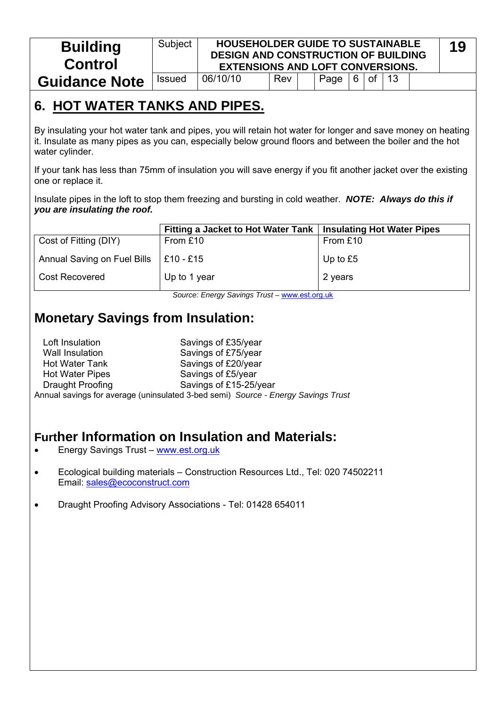| <b>Building</b><br><b>Control</b> | Subject       |          | <b>HOUSEHOLDER GUIDE TO SUSTAINABLE</b><br><b>DESIGN AND CONSTRUCTION OF BUILDING</b><br><b>EXTENSIONS AND LOFT CONVERSIONS.</b><br>6   of   13 |  |      |  |  |  |  |  |  |  |
|-----------------------------------|---------------|----------|-------------------------------------------------------------------------------------------------------------------------------------------------|--|------|--|--|--|--|--|--|--|
| <b>Guidance Note</b>              | <b>Issued</b> | 06/10/10 | Rev                                                                                                                                             |  | Page |  |  |  |  |  |  |  |

# **6. HOT WATER TANKS AND PIPES.**

By insulating your hot water tank and pipes, you will retain hot water for longer and save money on heating it. Insulate as many pipes as you can, especially below ground floors and between the boiler and the hot water cylinder.

If your tank has less than 75mm of insulation you will save energy if you fit another jacket over the existing one or replace it.

Insulate pipes in the loft to stop them freezing and bursting in cold weather. *NOTE: Always do this if you are insulating the roof.* 

|                                         | Fitting a Jacket to Hot Water Tank   Insulating Hot Water Pipes |            |
|-----------------------------------------|-----------------------------------------------------------------|------------|
| Cost of Fitting (DIY)                   | From £10                                                        | From £10   |
| Annual Saving on Fuel Bills   £10 - £15 |                                                                 | Up to $£5$ |
| <b>Cost Recovered</b>                   | Up to 1 year                                                    | 2 years    |

*Source: Energy Savings Trust –* [www.est.org.uk](http://www.est.org.uk/)

# **Monetary Savings from Insulation:**

Loft Insulation Savings of £35/year Wall Insulation Savings of £75/year Hot Water Tank Savings of £20/year Hot Water Pipes Savings of £5/year Draught Proofing Savings of £15-25/year Annual savings for average (uninsulated 3-bed semi) *Source - Energy Savings Trust*

## **Further Information on Insulation and Materials:**

- Energy Savings Trust [www.est.org.uk](http://www.est.org.uk/)
- Ecological building materials Construction Resources Ltd., Tel: 020 74502211 Email: [sales@ecoconstruct.com](mailto:sales@ecoconstruct.com)
- Draught Proofing Advisory Associations Tel: 01428 654011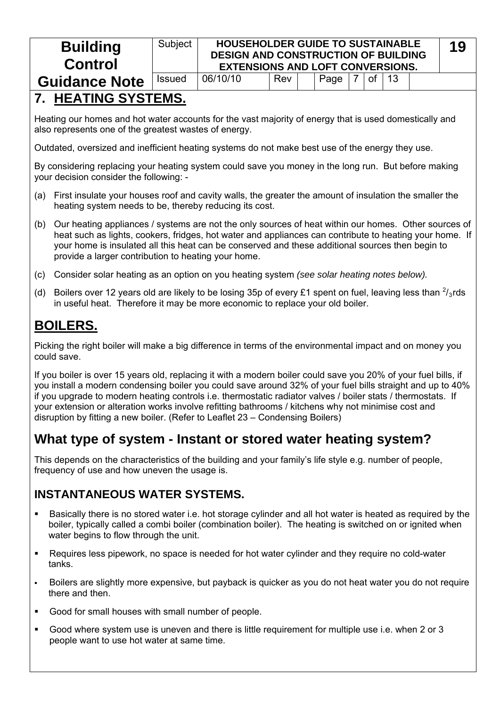| <b>Building</b><br><b>Control</b> | Subject       |          | <b>HOUSEHOLDER GUIDE TO SUSTAINABLE</b><br><b>DESIGN AND CONSTRUCTION OF BUILDING</b><br><b>EXTENSIONS AND LOFT CONVERSIONS.</b><br>of   13 |  |      |  |  |  |  |  |
|-----------------------------------|---------------|----------|---------------------------------------------------------------------------------------------------------------------------------------------|--|------|--|--|--|--|--|
| <b>Guidance Note</b>              | <b>Issued</b> | 06/10/10 | Rev                                                                                                                                         |  | Page |  |  |  |  |  |

# **7. HEATING SYSTEMS.**

Heating our homes and hot water accounts for the vast majority of energy that is used domestically and also represents one of the greatest wastes of energy.

Outdated, oversized and inefficient heating systems do not make best use of the energy they use.

By considering replacing your heating system could save you money in the long run. But before making your decision consider the following: -

- (a) First insulate your houses roof and cavity walls, the greater the amount of insulation the smaller the heating system needs to be, thereby reducing its cost.
- (b) Our heating appliances / systems are not the only sources of heat within our homes. Other sources of heat such as lights, cookers, fridges, hot water and appliances can contribute to heating your home. If your home is insulated all this heat can be conserved and these additional sources then begin to provide a larger contribution to heating your home.
- (c) Consider solar heating as an option on you heating system *(see solar heating notes below).*
- (d) Boilers over 12 years old are likely to be losing 35p of every £1 spent on fuel, leaving less than  $\frac{2}{3}$ rds in useful heat. Therefore it may be more economic to replace your old boiler.

# **BOILERS.**

Picking the right boiler will make a big difference in terms of the environmental impact and on money you could save.

If you boiler is over 15 years old, replacing it with a modern boiler could save you 20% of your fuel bills, if you install a modern condensing boiler you could save around 32% of your fuel bills straight and up to 40% if you upgrade to modern heating controls i.e. thermostatic radiator valves / boiler stats / thermostats. If your extension or alteration works involve refitting bathrooms / kitchens why not minimise cost and disruption by fitting a new boiler. (Refer to Leaflet 23 – Condensing Boilers)

## **What type of system - Instant or stored water heating system?**

This depends on the characteristics of the building and your family's life style e.g. number of people, frequency of use and how uneven the usage is.

### **INSTANTANEOUS WATER SYSTEMS.**

- Basically there is no stored water i.e. hot storage cylinder and all hot water is heated as required by the boiler, typically called a combi boiler (combination boiler). The heating is switched on or ignited when water begins to flow through the unit.
- Requires less pipework, no space is needed for hot water cylinder and they require no cold-water tanks.
- Boilers are slightly more expensive, but payback is quicker as you do not heat water you do not require there and then.
- Good for small houses with small number of people.
- Good where system use is uneven and there is little requirement for multiple use i.e. when 2 or 3 people want to use hot water at same time.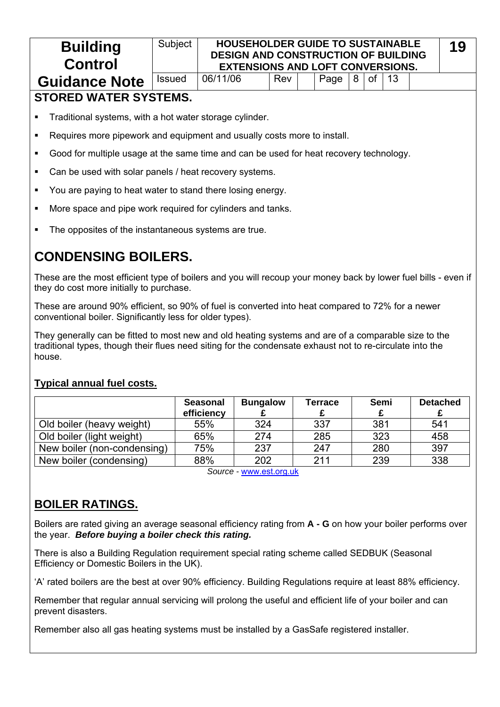| <b>Building</b><br><b>Control</b>                         | Subject       | <b>HOUSEHOLDER GUIDE TO SUSTAINABLE</b><br><b>DESIGN AND CONSTRUCTION OF BUILDING</b><br><b>EXTENSIONS AND LOFT CONVERSIONS.</b> |  |  |  |  |  |  |  | 19 |
|-----------------------------------------------------------|---------------|----------------------------------------------------------------------------------------------------------------------------------|--|--|--|--|--|--|--|----|
| <b>Guidance Note</b>                                      | <b>Issued</b> | 06/11/06<br>13<br>Page<br>Rev<br>8<br>οf                                                                                         |  |  |  |  |  |  |  |    |
| <b>STORED WATER SYSTEMS.</b>                              |               |                                                                                                                                  |  |  |  |  |  |  |  |    |
| • Traditional systems, with a hot water storage cylinder. |               |                                                                                                                                  |  |  |  |  |  |  |  |    |

- Requires more pipework and equipment and usually costs more to install.
- Good for multiple usage at the same time and can be used for heat recovery technology.
- Can be used with solar panels / heat recovery systems.
- You are paying to heat water to stand there losing energy.
- More space and pipe work required for cylinders and tanks.
- The opposites of the instantaneous systems are true.

# **CONDENSING BOILERS.**

These are the most efficient type of boilers and you will recoup your money back by lower fuel bills - even if they do cost more initially to purchase.

These are around 90% efficient, so 90% of fuel is converted into heat compared to 72% for a newer conventional boiler. Significantly less for older types).

They generally can be fitted to most new and old heating systems and are of a comparable size to the traditional types, though their flues need siting for the condensate exhaust not to re-circulate into the house.

### **Typical annual fuel costs.**

|                             | <b>Seasonal</b><br>efficiency | <b>Bungalow</b> | Terrace | Semi | <b>Detached</b> |
|-----------------------------|-------------------------------|-----------------|---------|------|-----------------|
| Old boiler (heavy weight)   | 55%                           | 324             | 337     | 381  | 541             |
| Old boiler (light weight)   | 65%                           | 274             | 285     | 323  | 458             |
| New boiler (non-condensing) | 75%                           | 237             | 247     | 280  | 397             |
| New boiler (condensing)     | 88%                           | 202             | 211     | 239  | 338             |

*Source -* [www.est.org.uk](http://www.est.org.uk/)

# **BOILER RATINGS.**

Boilers are rated giving an average seasonal efficiency rating from **A - G** on how your boiler performs over the year. *Before buying a boiler check this rating.* 

There is also a Building Regulation requirement special rating scheme called SEDBUK (Seasonal Efficiency or Domestic Boilers in the UK).

'A' rated boilers are the best at over 90% efficiency. Building Regulations require at least 88% efficiency.

Remember that regular annual servicing will prolong the useful and efficient life of your boiler and can prevent disasters.

Remember also all gas heating systems must be installed by a GasSafe registered installer.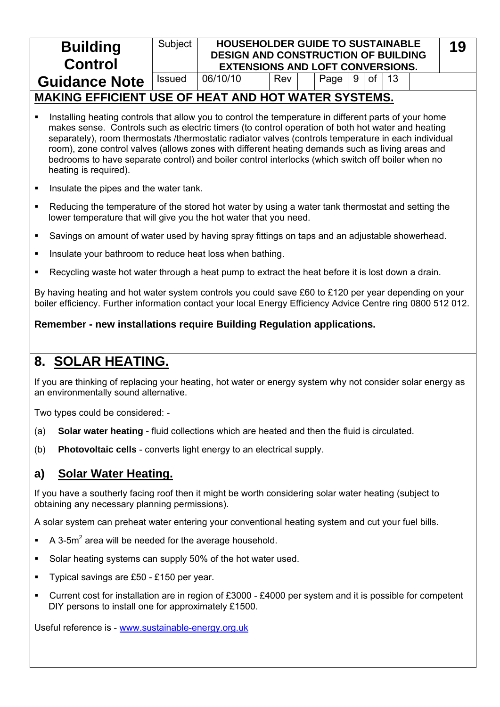|                                                                        | <b>Building</b><br><b>Control</b>                                                                                                                                                                                                                                                                                                                                                                                                                                                                                                                    | Subject       | <b>HOUSEHOLDER GUIDE TO SUSTAINABLE</b><br><b>DESIGN AND CONSTRUCTION OF BUILDING</b><br><b>EXTENSIONS AND LOFT CONVERSIONS.</b> |     |  |      |   |           |    |  |  |
|------------------------------------------------------------------------|------------------------------------------------------------------------------------------------------------------------------------------------------------------------------------------------------------------------------------------------------------------------------------------------------------------------------------------------------------------------------------------------------------------------------------------------------------------------------------------------------------------------------------------------------|---------------|----------------------------------------------------------------------------------------------------------------------------------|-----|--|------|---|-----------|----|--|--|
|                                                                        | <b>Guidance Note</b>                                                                                                                                                                                                                                                                                                                                                                                                                                                                                                                                 | <b>Issued</b> | 06/10/10                                                                                                                         | Rev |  | Page | 9 | <b>of</b> | 13 |  |  |
|                                                                        | <b>MAKING EFFICIENT USE OF HEAT AND HOT WATER SYSTEMS.</b>                                                                                                                                                                                                                                                                                                                                                                                                                                                                                           |               |                                                                                                                                  |     |  |      |   |           |    |  |  |
|                                                                        | Installing heating controls that allow you to control the temperature in different parts of your home<br>makes sense. Controls such as electric timers (to control operation of both hot water and heating<br>separately), room thermostats /thermostatic radiator valves (controls temperature in each individual<br>room), zone control valves (allows zones with different heating demands such as living areas and<br>bedrooms to have separate control) and boiler control interlocks (which switch off boiler when no<br>heating is required). |               |                                                                                                                                  |     |  |      |   |           |    |  |  |
| ٠                                                                      | Insulate the pipes and the water tank.                                                                                                                                                                                                                                                                                                                                                                                                                                                                                                               |               |                                                                                                                                  |     |  |      |   |           |    |  |  |
| ٠                                                                      | Reducing the temperature of the stored hot water by using a water tank thermostat and setting the<br>lower temperature that will give you the hot water that you need.                                                                                                                                                                                                                                                                                                                                                                               |               |                                                                                                                                  |     |  |      |   |           |    |  |  |
| ٠                                                                      | Savings on amount of water used by having spray fittings on taps and an adjustable showerhead.                                                                                                                                                                                                                                                                                                                                                                                                                                                       |               |                                                                                                                                  |     |  |      |   |           |    |  |  |
| ٠                                                                      | Insulate your bathroom to reduce heat loss when bathing.                                                                                                                                                                                                                                                                                                                                                                                                                                                                                             |               |                                                                                                                                  |     |  |      |   |           |    |  |  |
|                                                                        | Recycling waste hot water through a heat pump to extract the heat before it is lost down a drain.                                                                                                                                                                                                                                                                                                                                                                                                                                                    |               |                                                                                                                                  |     |  |      |   |           |    |  |  |
|                                                                        | By having heating and hot water system controls you could save £60 to £120 per year depending on your<br>boiler efficiency. Further information contact your local Energy Efficiency Advice Centre ring 0800 512 012.                                                                                                                                                                                                                                                                                                                                |               |                                                                                                                                  |     |  |      |   |           |    |  |  |
| Remember - new installations require Building Regulation applications. |                                                                                                                                                                                                                                                                                                                                                                                                                                                                                                                                                      |               |                                                                                                                                  |     |  |      |   |           |    |  |  |
|                                                                        |                                                                                                                                                                                                                                                                                                                                                                                                                                                                                                                                                      |               |                                                                                                                                  |     |  |      |   |           |    |  |  |
|                                                                        | 8. SOLAR HEATING.                                                                                                                                                                                                                                                                                                                                                                                                                                                                                                                                    |               |                                                                                                                                  |     |  |      |   |           |    |  |  |
|                                                                        | If you are thinking of replacing your heating, hot water or energy system why not consider solar energy as<br>an environmentally sound alternative.                                                                                                                                                                                                                                                                                                                                                                                                  |               |                                                                                                                                  |     |  |      |   |           |    |  |  |
|                                                                        | Two types could be considered: -                                                                                                                                                                                                                                                                                                                                                                                                                                                                                                                     |               |                                                                                                                                  |     |  |      |   |           |    |  |  |
| (a)                                                                    | Solar water heating - fluid collections which are heated and then the fluid is circulated.                                                                                                                                                                                                                                                                                                                                                                                                                                                           |               |                                                                                                                                  |     |  |      |   |           |    |  |  |
| (b)                                                                    | <b>Photovoltaic cells</b> - converts light energy to an electrical supply.                                                                                                                                                                                                                                                                                                                                                                                                                                                                           |               |                                                                                                                                  |     |  |      |   |           |    |  |  |
| a)                                                                     | <b>Solar Water Heating.</b>                                                                                                                                                                                                                                                                                                                                                                                                                                                                                                                          |               |                                                                                                                                  |     |  |      |   |           |    |  |  |
|                                                                        | If you have a southerly facing roof then it might be worth considering solar water heating (subject to<br>obtaining any necessary planning permissions).                                                                                                                                                                                                                                                                                                                                                                                             |               |                                                                                                                                  |     |  |      |   |           |    |  |  |
|                                                                        | A solar system can preheat water entering your conventional heating system and cut your fuel bills.                                                                                                                                                                                                                                                                                                                                                                                                                                                  |               |                                                                                                                                  |     |  |      |   |           |    |  |  |
|                                                                        | A 3-5m <sup>2</sup> area will be needed for the average household.                                                                                                                                                                                                                                                                                                                                                                                                                                                                                   |               |                                                                                                                                  |     |  |      |   |           |    |  |  |
| ٠                                                                      | Solar heating systems can supply 50% of the hot water used.                                                                                                                                                                                                                                                                                                                                                                                                                                                                                          |               |                                                                                                                                  |     |  |      |   |           |    |  |  |

■ Current cost for installation are in region of £3000 - £4000 per system and it is possible for competent DIY persons to install one for approximately £1500.

Useful reference is - [www.sustainable-energy.org.uk](http://www.sustainable-energy.org.uk/)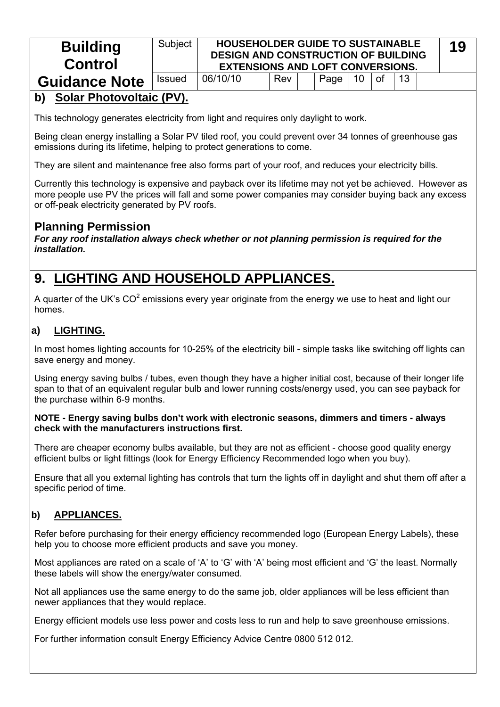| <b>Building</b><br><b>Control</b> | Subject       | <b>HOUSEHOLDER GUIDE TO SUSTAINABLE</b><br><b>DESIGN AND CONSTRUCTION OF BUILDING</b><br><b>EXTENSIONS AND LOFT CONVERSIONS.</b> |     |      |    |      |    |  |  |
|-----------------------------------|---------------|----------------------------------------------------------------------------------------------------------------------------------|-----|------|----|------|----|--|--|
| <b>Guidance Note</b>              | <b>Issued</b> | 06/10/10                                                                                                                         | Rev | Page | 10 | . of | 13 |  |  |

### **b) Solar Photovoltaic (PV).**

This technology generates electricity from light and requires only daylight to work.

Being clean energy installing a Solar PV tiled roof, you could prevent over 34 tonnes of greenhouse gas emissions during its lifetime, helping to protect generations to come.

They are silent and maintenance free also forms part of your roof, and reduces your electricity bills.

Currently this technology is expensive and payback over its lifetime may not yet be achieved. However as more people use PV the prices will fall and some power companies may consider buying back any excess or off-peak electricity generated by PV roofs.

### **Planning Permission**

*For any roof installation always check whether or not planning permission is required for the installation.* 

# **9. LIGHTING AND HOUSEHOLD APPLIANCES.**

A quarter of the UK's CO<sup>2</sup> emissions every year originate from the energy we use to heat and light our homes.

### **a) LIGHTING.**

In most homes lighting accounts for 10-25% of the electricity bill - simple tasks like switching off lights can save energy and money.

Using energy saving bulbs / tubes, even though they have a higher initial cost, because of their longer life span to that of an equivalent regular bulb and lower running costs/energy used, you can see payback for the purchase within 6-9 months.

#### **NOTE - Energy saving bulbs don't work with electronic seasons, dimmers and timers - always check with the manufacturers instructions first.**

There are cheaper economy bulbs available, but they are not as efficient - choose good quality energy efficient bulbs or light fittings (look for Energy Efficiency Recommended logo when you buy).

Ensure that all you external lighting has controls that turn the lights off in daylight and shut them off after a specific period of time.

### **b) APPLIANCES.**

Refer before purchasing for their energy efficiency recommended logo (European Energy Labels), these help you to choose more efficient products and save you money.

Most appliances are rated on a scale of 'A' to 'G' with 'A' being most efficient and 'G' the least. Normally these labels will show the energy/water consumed.

Not all appliances use the same energy to do the same job, older appliances will be less efficient than newer appliances that they would replace.

Energy efficient models use less power and costs less to run and help to save greenhouse emissions.

For further information consult Energy Efficiency Advice Centre 0800 512 012.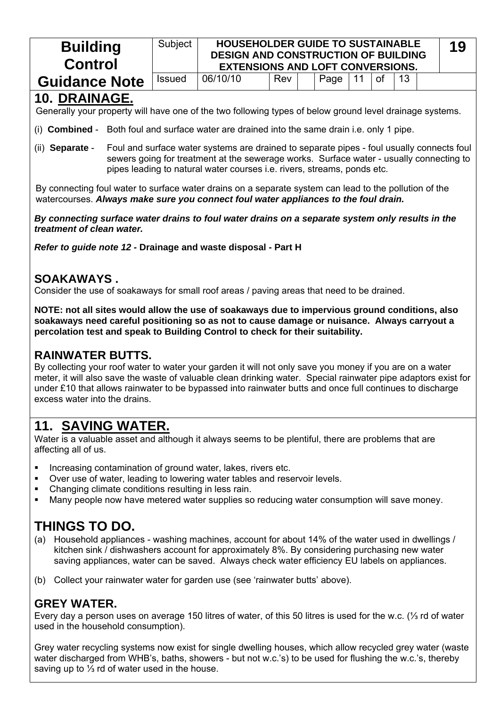| <b>Building</b><br><b>Control</b> | Subject       | <b>HOUSEHOLDER GUIDE TO SUSTAINABLE</b><br><b>DESIGN AND CONSTRUCTION OF BUILDING</b><br><b>EXTENSIONS AND LOFT CONVERSIONS.</b> |     |           |       |            | 19 |
|-----------------------------------|---------------|----------------------------------------------------------------------------------------------------------------------------------|-----|-----------|-------|------------|----|
| <b>Guidance Note</b>              | <b>Issued</b> | 06/10/10                                                                                                                         | Rev | Page   11 | ⊥of ∶ | $\vert$ 13 |    |

## **10. DRAINAGE.**

Generally your property will have one of the two following types of below ground level drainage systems.

- (i) **Combined** Both foul and surface water are drained into the same drain i.e. only 1 pipe.
- (ii) **Separate** Foul and surface water systems are drained to separate pipes foul usually connects foul sewers going for treatment at the sewerage works. Surface water - usually connecting to pipes leading to natural water courses i.e. rivers, streams, ponds etc.

By connecting foul water to surface water drains on a separate system can lead to the pollution of the watercourses. *Always make sure you connect foul water appliances to the foul drain.* 

*By connecting surface water drains to foul water drains on a separate system only results in the treatment of clean water.* 

*Refer to guide note 12 -* **Drainage and waste disposal - Part H**

### **SOAKAWAYS .**

Consider the use of soakaways for small roof areas / paving areas that need to be drained.

**NOTE: not all sites would allow the use of soakaways due to impervious ground conditions, also soakaways need careful positioning so as not to cause damage or nuisance. Always carryout a percolation test and speak to Building Control to check for their suitability.** 

### **RAINWATER BUTTS.**

By collecting your roof water to water your garden it will not only save you money if you are on a water meter, it will also save the waste of valuable clean drinking water. Special rainwater pipe adaptors exist for under £10 that allows rainwater to be bypassed into rainwater butts and once full continues to discharge excess water into the drains.

# **11. SAVING WATER.**

Water is a valuable asset and although it always seems to be plentiful, there are problems that are affecting all of us.

- Increasing contamination of ground water, lakes, rivers etc.
- Over use of water, leading to lowering water tables and reservoir levels.
- Changing climate conditions resulting in less rain.
- Many people now have metered water supplies so reducing water consumption will save money.

## **THINGS TO DO.**

- (a) Household appliances washing machines, account for about 14% of the water used in dwellings / kitchen sink / dishwashers account for approximately 8%. By considering purchasing new water saving appliances, water can be saved. Always check water efficiency EU labels on appliances.
- (b) Collect your rainwater water for garden use (see 'rainwater butts' above).

### **GREY WATER.**

Every day a person uses on average 150 litres of water, of this 50 litres is used for the w.c. (⅓ rd of water used in the household consumption).

Grey water recycling systems now exist for single dwelling houses, which allow recycled grey water (waste water discharged from WHB's, baths, showers - but not w.c.'s) to be used for flushing the w.c.'s, thereby saving up to 1/3 rd of water used in the house.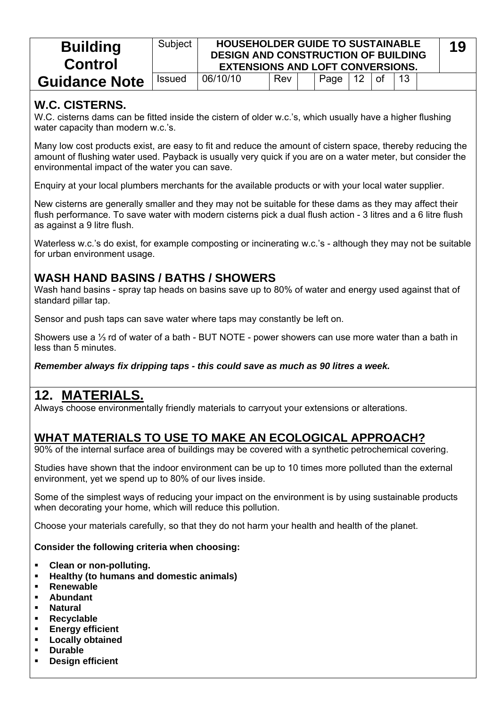| <b>Building</b><br><b>Control</b> | Subject       | <b>HOUSEHOLDER GUIDE TO SUSTAINABLE</b><br><b>DESIGN AND CONSTRUCTION OF BUILDING</b><br><b>EXTENSIONS AND LOFT CONVERSIONS.</b> |     |      |                   |    |    | 19 |
|-----------------------------------|---------------|----------------------------------------------------------------------------------------------------------------------------------|-----|------|-------------------|----|----|----|
| <b>Guidance Note</b>              | <b>Issued</b> | 06/10/10                                                                                                                         | Rev | Page | $12 \overline{ }$ | 0f | 13 |    |

### **W.C. CISTERNS.**

W.C. cisterns dams can be fitted inside the cistern of older w.c.'s, which usually have a higher flushing water capacity than modern w.c.'s.

Many low cost products exist, are easy to fit and reduce the amount of cistern space, thereby reducing the amount of flushing water used. Payback is usually very quick if you are on a water meter, but consider the environmental impact of the water you can save.

Enquiry at your local plumbers merchants for the available products or with your local water supplier.

New cisterns are generally smaller and they may not be suitable for these dams as they may affect their flush performance. To save water with modern cisterns pick a dual flush action - 3 litres and a 6 litre flush as against a 9 litre flush.

Waterless w.c.'s do exist, for example composting or incinerating w.c.'s - although they may not be suitable for urban environment usage.

### **WASH HAND BASINS / BATHS / SHOWERS**

Wash hand basins - spray tap heads on basins save up to 80% of water and energy used against that of standard pillar tap.

Sensor and push taps can save water where taps may constantly be left on.

Showers use a ⅓ rd of water of a bath - BUT NOTE - power showers can use more water than a bath in less than 5 minutes.

*Remember always fix dripping taps - this could save as much as 90 litres a week.* 

## **12. MATERIALS.**

Always choose environmentally friendly materials to carryout your extensions or alterations.

## **WHAT MATERIALS TO USE TO MAKE AN ECOLOGICAL APPROACH?**

90% of the internal surface area of buildings may be covered with a synthetic petrochemical covering.

Studies have shown that the indoor environment can be up to 10 times more polluted than the external environment, yet we spend up to 80% of our lives inside.

Some of the simplest ways of reducing your impact on the environment is by using sustainable products when decorating your home, which will reduce this pollution.

Choose your materials carefully, so that they do not harm your health and health of the planet.

#### **Consider the following criteria when choosing:**

- **Clean or non-polluting.**
- **Healthy (to humans and domestic animals)**
- **Renewable**
- **Abundant**
- **Natural**
- **Recyclable**
- **Energy efficient**
- **Locally obtained**
- **Durable**
- **Design efficient**